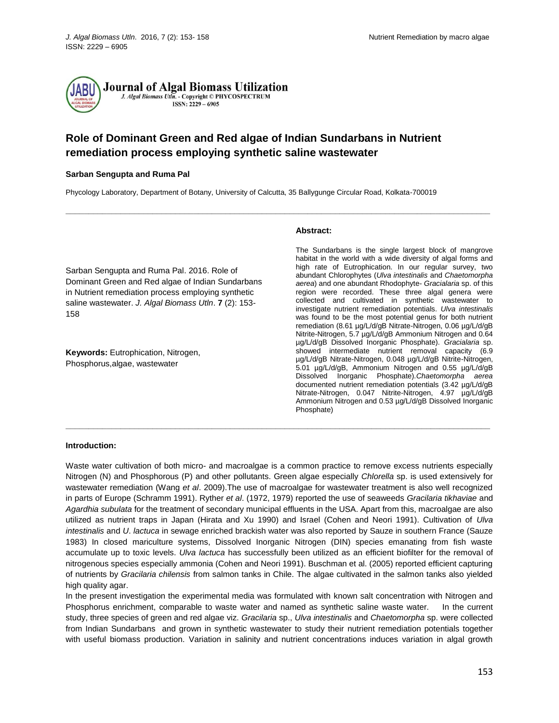

# **Role of Dominant Green and Red algae of Indian Sundarbans in Nutrient remediation process employing synthetic saline wastewater**

# **Sarban Sengupta and Ruma Pal**

Phycology Laboratory, Department of Botany, University of Calcutta, 35 Ballygunge Circular Road, Kolkata-700019

**\_\_\_\_\_\_\_\_\_\_\_\_\_\_\_\_\_\_\_\_\_\_\_\_\_\_\_\_\_\_\_\_\_\_\_\_\_\_\_\_\_\_\_\_\_\_\_\_\_\_\_\_\_\_\_\_\_\_\_\_\_\_\_\_\_\_\_\_\_\_\_\_\_\_\_\_\_\_\_\_\_\_\_\_\_\_\_\_\_\_\_\_\_**

Sarban Sengupta and Ruma Pal. 2016. Role of Dominant Green and Red algae of Indian Sundarbans in Nutrient remediation process employing synthetic saline wastewater. *J. Algal Biomass Utln*. **7** (2): 153- 158

**Keywords:** Eutrophication, Nitrogen, Phosphorus,algae, wastewater

#### **Abstract:**

The Sundarbans is the single largest block of mangrove habitat in the world with a wide diversity of algal forms and high rate of Eutrophication. In our regular survey, two abundant Chlorophytes (*Ulva intestinalis* and *Chaetomorpha aerea*) and one abundant Rhodophyte- *Gracialaria* sp. of this region were recorded. These three algal genera were collected and cultivated in synthetic wastewater to investigate nutrient remediation potentials. *Ulva intestinalis* was found to be the most potential genus for both nutrient remediation (8.61 µg/L/d/gB Nitrate-Nitrogen, 0.06 µg/L/d/gB Nitrite-Nitrogen, 5.7 µg/L/d/gB Ammonium Nitrogen and 0.64 µg/L/d/gB Dissolved Inorganic Phosphate). *Gracialaria* sp. showed intermediate nutrient removal capacity (6.9 µg/L/d/gB Nitrate-Nitrogen, 0.048 µg/L/d/gB Nitrite-Nitrogen, 5.01 µg/L/d/gB, Ammonium Nitrogen and 0.55 µg/L/d/gB Dissolved Inorganic Phosphate).*Chaetomorpha aerea* documented nutrient remediation potentials (3.42 µg/L/d/gB Nitrate-Nitrogen, 0.047 Nitrite-Nitrogen, 4.97 µg/L/d/gB Ammonium Nitrogen and 0.53 µg/L/d/gB Dissolved Inorganic Phosphate)

#### **Introduction:**

Waste water cultivation of both micro- and macroalgae is a common practice to remove excess nutrients especially Nitrogen (N) and Phosphorous (P) and other pollutants. Green algae especially *Chlorella* sp. is used extensively for wastewater remediation (Wang *et al*. 2009).The use of macroalgae for wastewater treatment is also well recognized in parts of Europe (Schramm 1991). Ryther *et al*. (1972, 1979) reported the use of seaweeds *Gracilaria tikhaviae* and *Agardhia subulata* for the treatment of secondary municipal effluents in the USA. Apart from this, macroalgae are also utilized as nutrient traps in Japan (Hirata and Xu 1990) and Israel (Cohen and Neori 1991). Cultivation of *Ulva intestinalis* and *U*. *lactuca* in sewage enriched brackish water was also reported by Sauze in southern France (Sauze 1983) In closed mariculture systems, Dissolved Inorganic Nitrogen (DIN) species emanating from fish waste accumulate up to toxic levels. *Ulva lactuca* has successfully been utilized as an efficient biofilter for the removal of nitrogenous species especially ammonia (Cohen and Neori 1991). Buschman et al. (2005) reported efficient capturing of nutrients by *Gracilaria chilensis* from salmon tanks in Chile. The algae cultivated in the salmon tanks also yielded high quality agar.

**\_\_\_\_\_\_\_\_\_\_\_\_\_\_\_\_\_\_\_\_\_\_\_\_\_\_\_\_\_\_\_\_\_\_\_\_\_\_\_\_\_\_\_\_\_\_\_\_\_\_\_\_\_\_\_\_\_\_\_\_\_\_\_\_\_\_\_\_\_\_\_\_\_\_\_\_\_\_\_\_\_\_\_\_\_\_\_\_\_\_\_\_\_**

In the present investigation the experimental media was formulated with known salt concentration with Nitrogen and Phosphorus enrichment, comparable to waste water and named as synthetic saline waste water. In the current study, three species of green and red algae viz. *Gracilaria* sp., *Ulva intestinalis* and *Chaetomorpha* sp. were collected from Indian Sundarbans and grown in synthetic wastewater to study their nutrient remediation potentials together with useful biomass production. Variation in salinity and nutrient concentrations induces variation in algal growth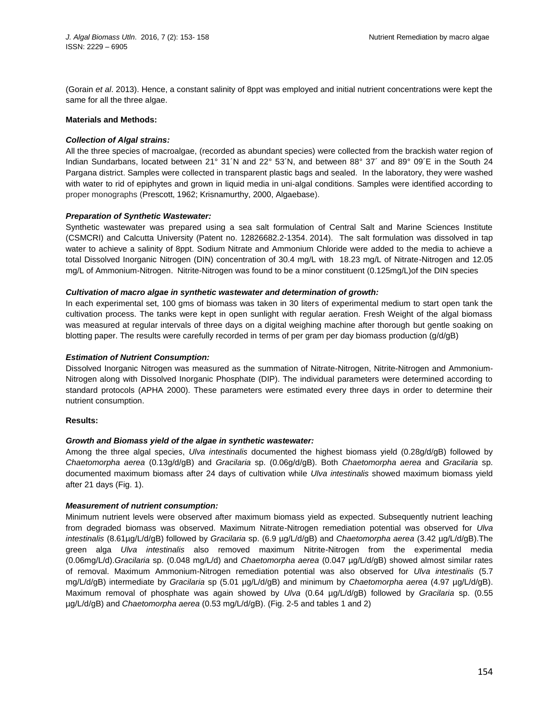(Gorain *et al*. 2013). Hence, a constant salinity of 8ppt was employed and initial nutrient concentrations were kept the same for all the three algae.

# **Materials and Methods:**

# *Collection of Algal strains:*

All the three species of macroalgae, (recorded as abundant species) were collected from the brackish water region of Indian Sundarbans, located between 21° 31´N and 22° 53´N, and between 88° 37´ and 89° 09´E in the South 24 Pargana district. Samples were collected in transparent plastic bags and sealed. In the laboratory, they were washed with water to rid of epiphytes and grown in liquid media in uni-algal conditions. Samples were identified according to proper monographs (Prescott, 1962; Krisnamurthy, 2000, Algaebase).

# *Preparation of Synthetic Wastewater:*

Synthetic wastewater was prepared using a sea salt formulation of Central Salt and Marine Sciences Institute (CSMCRI) and Calcutta University (Patent no. 12826682.2-1354. 2014). The salt formulation was dissolved in tap water to achieve a salinity of 8ppt. Sodium Nitrate and Ammonium Chloride were added to the media to achieve a total Dissolved Inorganic Nitrogen (DIN) concentration of 30.4 mg/L with 18.23 mg/L of Nitrate-Nitrogen and 12.05 mg/L of Ammonium-Nitrogen. Nitrite-Nitrogen was found to be a minor constituent (0.125mg/L)of the DIN species

# *Cultivation of macro algae in synthetic wastewater and determination of growth:*

In each experimental set, 100 gms of biomass was taken in 30 liters of experimental medium to start open tank the cultivation process. The tanks were kept in open sunlight with regular aeration. Fresh Weight of the algal biomass was measured at regular intervals of three days on a digital weighing machine after thorough but gentle soaking on blotting paper. The results were carefully recorded in terms of per gram per day biomass production (g/d/gB)

# *Estimation of Nutrient Consumption:*

Dissolved Inorganic Nitrogen was measured as the summation of Nitrate-Nitrogen, Nitrite-Nitrogen and Ammonium-Nitrogen along with Dissolved Inorganic Phosphate (DIP). The individual parameters were determined according to standard protocols (APHA 2000). These parameters were estimated every three days in order to determine their nutrient consumption.

### **Results:**

### *Growth and Biomass yield of the algae in synthetic wastewater:*

Among the three algal species, *Ulva intestinalis* documented the highest biomass yield (0.28g/d/gB) followed by *Chaetomorpha aerea* (0.13g/d/gB) and *Gracilaria* sp. (0.06g/d/gB). Both *Chaetomorpha aerea* and *Gracilaria* sp. documented maximum biomass after 24 days of cultivation while *Ulva intestinalis* showed maximum biomass yield after 21 days (Fig. 1).

# *Measurement of nutrient consumption:*

Minimum nutrient levels were observed after maximum biomass yield as expected. Subsequently nutrient leaching from degraded biomass was observed. Maximum Nitrate-Nitrogen remediation potential was observed for *Ulva intestinalis* (8.61µg/L/d/gB) followed by *Gracilaria* sp. (6.9 µg/L/d/gB) and *Chaetomorpha aerea* (3.42 µg/L/d/gB).The green alga *Ulva intestinalis* also removed maximum Nitrite-Nitrogen from the experimental media (0.06mg/L/d).*Gracilaria* sp. (0.048 mg/L/d) and *Chaetomorpha aerea* (0.047 µg/L/d/gB) showed almost similar rates of removal. Maximum Ammonium-Nitrogen remediation potential was also observed for *Ulva intestinalis* (5.7 mg/L/d/gB) intermediate by *Gracilaria* sp (5.01 µg/L/d/gB) and minimum by *Chaetomorpha aerea* (4.97 µg/L/d/gB). Maximum removal of phosphate was again showed by *Ulva* (0.64 µg/L/d/gB) followed by *Gracilaria* sp. (0.55 µg/L/d/gB) and *Chaetomorpha aerea* (0.53 mg/L/d/gB). (Fig. 2-5 and tables 1 and 2)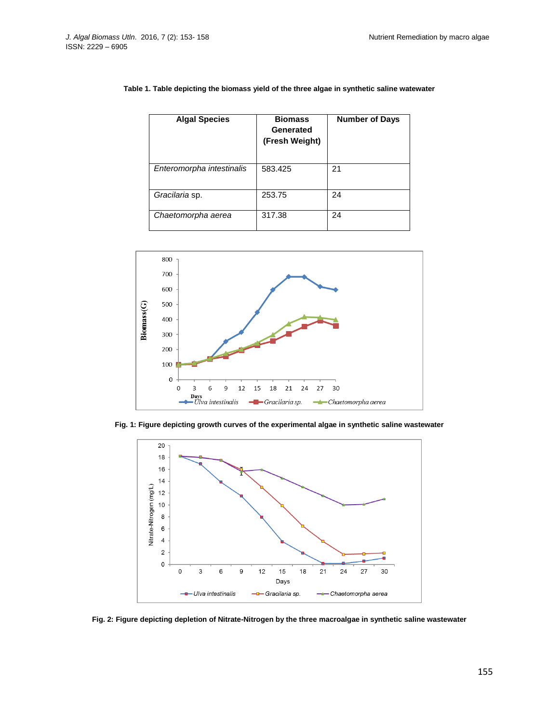| <b>Algal Species</b>      | <b>Biomass</b><br>Generated<br>(Fresh Weight) | <b>Number of Days</b> |
|---------------------------|-----------------------------------------------|-----------------------|
| Enteromorpha intestinalis | 583.425                                       | 21                    |
| Gracilaria sp.            | 253.75                                        | 24                    |
| Chaetomorpha aerea        | 317.38                                        | 24                    |

# **Table 1. Table depicting the biomass yield of the three algae in synthetic saline watewater**



**Fig. 1: Figure depicting growth curves of the experimental algae in synthetic saline wastewater**



**Fig. 2: Figure depicting depletion of Nitrate-Nitrogen by the three macroalgae in synthetic saline wastewater**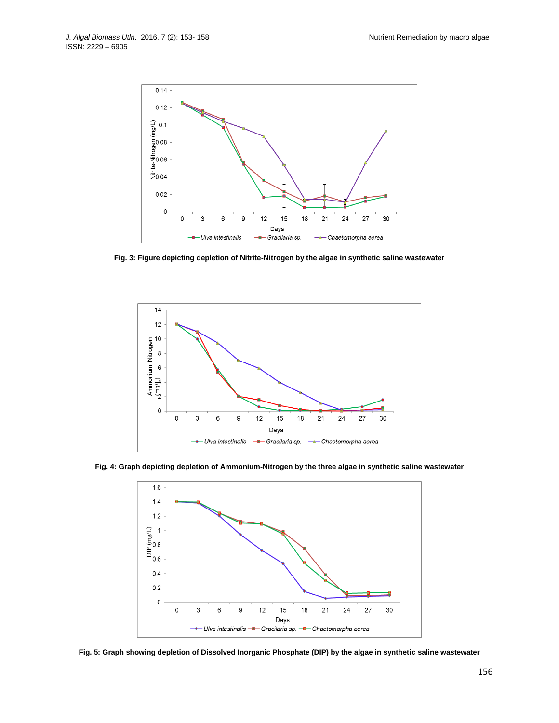

**Fig. 3: Figure depicting depletion of Nitrite-Nitrogen by the algae in synthetic saline wastewater**



**Fig. 4: Graph depicting depletion of Ammonium-Nitrogen by the three algae in synthetic saline wastewater**



**Fig. 5: Graph showing depletion of Dissolved Inorganic Phosphate (DIP) by the algae in synthetic saline wastewater**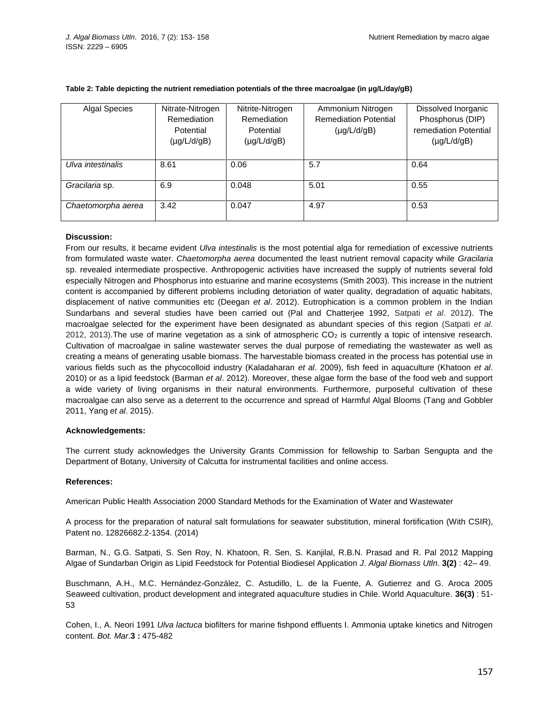| <b>Algal Species</b> | Nitrate-Nitrogen | Nitrite-Nitrogen | Ammonium Nitrogen            | Dissolved Inorganic   |
|----------------------|------------------|------------------|------------------------------|-----------------------|
|                      | Remediation      | Remediation      | <b>Remediation Potential</b> | Phosphorus (DIP)      |
|                      | Potential        | Potential        | $(\mu g/L/d/gB)$             | remediation Potential |
|                      | $(\mu g/L/d/gB)$ | $(\mu g/L/d/gB)$ |                              | $(\mu g/L/d/gB)$      |
|                      |                  |                  |                              |                       |
| Ulva intestinalis    | 8.61             | 0.06             | 5.7                          | 0.64                  |
|                      |                  |                  |                              |                       |
| Gracilaria sp.       | 6.9              | 0.048            | 5.01                         | 0.55                  |
|                      |                  |                  |                              |                       |
| Chaetomorpha aerea   | 3.42             | 0.047            | 4.97                         | 0.53                  |
|                      |                  |                  |                              |                       |

### **Table 2: Table depicting the nutrient remediation potentials of the three macroalgae (in µg/L/day/gB)**

# **Discussion:**

From our results, it became evident *Ulva intestinalis* is the most potential alga for remediation of excessive nutrients from formulated waste water. *Chaetomorpha aerea* documented the least nutrient removal capacity while *Gracilaria* sp. revealed intermediate prospective. Anthropogenic activities have increased the supply of nutrients several fold especially Nitrogen and Phosphorus into estuarine and marine ecosystems (Smith 2003). This increase in the nutrient content is accompanied by different problems including detoriation of water quality, degradation of aquatic habitats, displacement of native communities etc (Deegan *et al*. 2012). Eutrophication is a common problem in the Indian Sundarbans and several studies have been carried out (Pal and Chatterjee 1992, Satpati *et al*. 2012). The macroalgae selected for the experiment have been designated as abundant species of this region (Satpati *et al*.  $2012$ ,  $2013$ ). The use of marine vegetation as a sink of atmospheric  $CO<sub>2</sub>$  is currently a topic of intensive research. Cultivation of macroalgae in saline wastewater serves the dual purpose of remediating the wastewater as well as creating a means of generating usable biomass. The harvestable biomass created in the process has potential use in various fields such as the phycocolloid industry (Kaladaharan *et al*. 2009), fish feed in aquaculture (Khatoon *et al*. 2010) or as a lipid feedstock (Barman *et al*. 2012). Moreover, these algae form the base of the food web and support a wide variety of living organisms in their natural environments. Furthermore, purposeful cultivation of these macroalgae can also serve as a deterrent to the occurrence and spread of Harmful Algal Blooms (Tang and Gobbler 2011, Yang *et al*. 2015).

# **Acknowledgements:**

The current study acknowledges the University Grants Commission for fellowship to Sarban Sengupta and the Department of Botany, University of Calcutta for instrumental facilities and online access.

# **References:**

American Public Health Association 2000 Standard Methods for the Examination of Water and Wastewater

A process for the preparation of natural salt formulations for seawater substitution, mineral fortification (With CSIR), Patent no. 12826682.2-1354. (2014)

Barman, N., G.G. Satpati, S. Sen Roy, N. Khatoon, R. Sen, S. Kanjilal, R.B.N. Prasad and R. Pal 2012 Mapping Algae of Sundarban Origin as Lipid Feedstock for Potential Biodiesel Application *J*. *Algal Biomass Utln*. **3(2)** : 42– 49.

Buschmann, A.H., M.C. Hernández-González, C. Astudillo, L. de la Fuente, A. Gutierrez and G. Aroca 2005 Seaweed cultivation, product development and integrated aquaculture studies in Chile. World Aquaculture. **36(3)** : 51- 53

Cohen, I., A. Neori 1991 *Ulva lactuca* biofilters for marine fishpond effluents I. Ammonia uptake kinetics and Nitrogen content. *Bot. Mar*.**3 :** 475-482